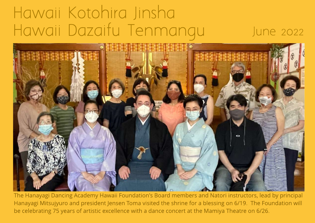## Haw aii Kotohira Jinsha Hawaii Dazaifu Tenmangu June 2022



The Hanayagi Dancing Academy Hawaii Foundation's Board members and Natori instructors, lead by principal Hanayagi Mitsujyuro and president Jensen Toma visited the shrine for a blessing on 6/19. The Foundation will be celebrating 75 years of artistic excellence with a dance concert at the Mamiya Theatre on 6/26.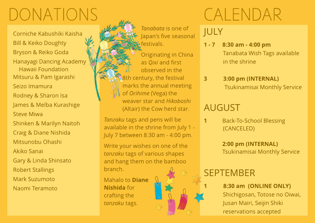# DONATIONS

Corniche Kabushiki Kaisha Bill & Keiko Doughty Bryson & Reiko Goda Hanayagi Dancing Academy Hawaii Foundation Mitsuru & Pam Igarashi Seizo Imamura Rodney & Sharon Isa James & Melba Kurashige Steve Miwa Shinken & Marilyn Naitoh Craig & Diane Nishida Mitsunobu Ohashi Akiko Sanai Gary & Linda Shinsato Robert Stallings Mark Suzumoto Naomi Teramoto



**Tanzaku** tags and pens will be available in the shrine from July 1 - July 7 between 8:30 am - 4:00 pm.

Write your wishes on one of the **tanzaku** tags of various shapes and hang them on the bamboo branch.

Mahalo to Diane Nishida for crafting the **tanzaku** tags.

# CALENDAR

JULY

- 1 7 8:30 am 4:00 pm Tanabata Wish Tags available in the shrine
- 3 3:00 pm (INTERNAL) Tsukinamisai Monthly Service

#### AUGUST

1 Back-To-School Blessing (CANCELED)

> 2:00 pm (INTERNAL) Tsukinamisai Monthly Service

#### **SEPTEMBER**

8:30 am (ONLINE ONLY) Shichigosan, Totose no Oiwai, Jusan Mairi, Seijin Shiki reservations accepted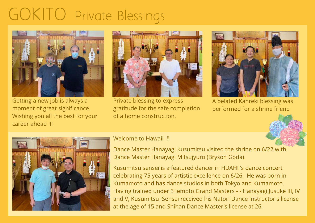## GOKITO Private Blessings



Getting a new job is always a moment of great significance. Wishing you all the best for your career ahead !!!



Private blessing to express gratitude for the safe completion of a home construction.



A belated Kanreki blessing was performed for a shrine friend





#### Welcome to Hawaii !!

Dance Master Hanayagi Kusumitsu visited the shrine on 6/22 with Dance Master Hanayagi Mitsujyuro (Bryson Goda).

Kusumitsu sensei is a featured dancer in HDAHF's dance concert celebrating 75 years of artistic excellence on 6/26. He was born in Kumamoto and has dance studios in both Tokyo and Kumamoto. Having trained under 3 Iemoto Grand Masters - - Hanayagi Jusuke III, IV and V, Kusumitsu Sensei received his Natori Dance Instructor's license at the age of 15 and Shihan Dance Master's license at 26.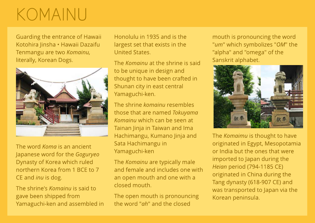## KOMAINU

Guarding the entrance of Hawaii Kotohira Jinsha - Hawaii Dazaifu Tenmangu are two **Komainu,** literally, Korean Dogs.



The word **Koma** is an ancient Japanese word for the **Goguryeo** Dynasty of Korea which ruled northern Korea from 1 BCE to 7 CEand **inu** is dog.

The shrine's **Komainu** is said to gave been shipped from Yamaguchi-ken and assembled in

Honolulu in 1935 and is the largest set that exists in the United States.

The **Komainu** at the shrine is said to be unique in design and thought to have been crafted in Shunan city in east central Yamaguchi-ken.

The shrine **komainu** resembles those that are named **Tokuyama Komainu** which can be seen at Tainan Jinja in Taiwan and Ima Hachimangu, Kumano Jinja and Sata Hachimangu in Yamaguchi-ken

The **Komainu** are typically male and female and includes one with an open mouth and one with a closed mouth.

The open mouth is pronouncing the word "**ah**" and the closed

mouth is pronouncing the word "**um**" which symbolizes "**OM**" the "alpha" and "omega" of the Sanskrit alphabet.



The **Komaimu** is thought to have originated in Egypt, Mesopotamia or India but the ones that were imported to Japan during the **Heian** period (794-1185 CE) originated in China during the Tang dynasty (618-907 CE) and was transported to Japan via the Korean peninsula.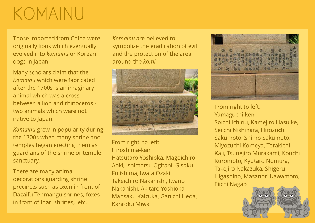### KOMAINU

Those imported from China were originally lions which eventually evolved into **komainu** or Korean dogs in Japan.

Many scholars claim that the **Komainu** which were fabricated after the 1700s is an imaginary animal which was a cross between a lion and rhinoceros two animals which were not native to Japan.

**Komainu** grew in popularity during the 1700s when many shrine and temples began erecting them as guardians of the shrine or temple sanctuary.

There are many animal decorations guarding shrine precincts such as oxen in front of Dazaifu Tenmangu shrines, foxes in front of Inari shrines, etc.

**Komainu** are believed to symbolize the eradication of evil and the protection of the area around the **kami**.



From right to left: Hiroshima-ken Hatsutaro Yoshioka, Magoichiro Aoki, Ishimatsu Ogitani, Gisaku Fujishima, Iwata Ozaki, Takeichiro Nakanishi, Iwano Nakanishi, Akitaro Yoshioka, Mansaku Kaizuka, Ganichi Ueda, Kanroku Miwa



From right to left: Yamaguchi-ken Soichi Ichiriu, Kamejiro Hasuike, Seiichi Nishihara, Hirozuchi Sakumoto, Shimo Sakumoto, Miyozuchi Komeya, Torakichi Kaji, Tsunejiro Murakami, Kouchi Kuromoto, Kyutaro Nomura, Takejiro Nakazuka, Shigeru Higashino, Masanori Kawamoto, Eiichi Nagao